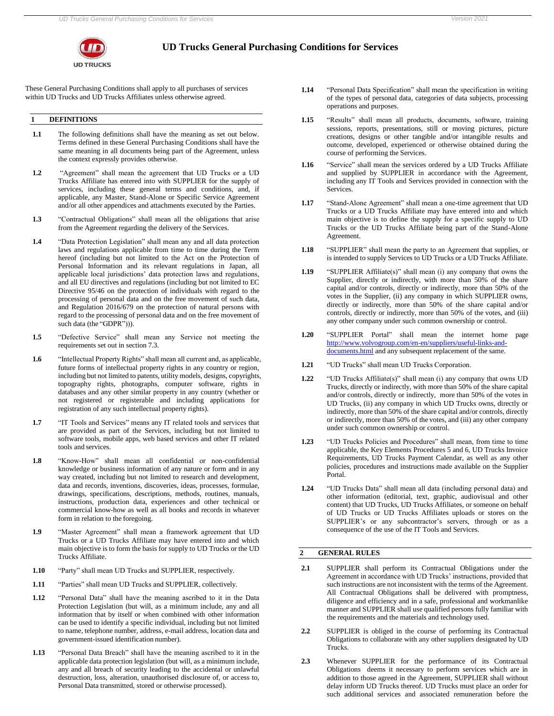

# **UD Trucks General Purchasing Conditions for Services**

These General Purchasing Conditions shall apply to all purchases of services within UD Trucks and UD Trucks Affiliates unless otherwise agreed.

## **1 DEFINITIONS**

- **1.1** The following definitions shall have the meaning as set out below. Terms defined in these General Purchasing Conditions shall have the same meaning in all documents being part of the Agreement, unless the context expressly provides otherwise.
- **1.2** "Agreement" shall mean the agreement that UD Trucks or a UD Trucks Affiliate has entered into with SUPPLIER for the supply of services, including these general terms and conditions, and, if applicable, any Master, Stand-Alone or Specific Service Agreement and/or all other appendices and attachments executed by the Parties.
- **1.3** "Contractual Obligations" shall mean all the obligations that arise from the Agreement regarding the delivery of the Services.
- **1.4** "Data Protection Legislation" shall mean any and all data protection laws and regulations applicable from time to time during the Term hereof (including but not limited to the Act on the Protection of Personal Information and its relevant regulations in Japan, all applicable local jurisdictions' data protection laws and regulations, and all EU directives and regulations (including but not limited to EC Directive 95/46 on the protection of individuals with regard to the processing of personal data and on the free movement of such data, and Regulation 2016/679 on the protection of natural persons with regard to the processing of personal data and on the free movement of such data (the "GDPR"))).
- **1.5** "Defective Service" shall mean any Service not meeting the requirements set out in section 7.3.
- **1.6** "Intellectual Property Rights" shall mean all current and, as applicable, future forms of intellectual property rights in any country or region, including but not limited to patents, utility models, designs, copyrights, topography rights, photographs, computer software, rights in databases and any other similar property in any country (whether or not registered or registerable and including applications for registration of any such intellectual property rights).
- **1.7** "IT Tools and Services" means any IT related tools and services that are provided as part of the Services, including but not limited to software tools, mobile apps, web based services and other IT related tools and services.
- **1.8** "Know-How" shall mean all confidential or non-confidential knowledge or business information of any nature or form and in any way created, including but not limited to research and development, data and records, inventions, discoveries, ideas, processes, formulae, drawings, specifications, descriptions, methods, routines, manuals, instructions, production data, experiences and other technical or commercial know-how as well as all books and records in whatever form in relation to the foregoing.
- **1.9** "Master Agreement" shall mean a framework agreement that UD Trucks or a UD Trucks Affiliate may have entered into and which main objective is to form the basis for supply to UD Trucks or the UD Trucks Affiliate.
- **1.10** "Party" shall mean UD Trucks and SUPPLIER, respectively.
- **1.11** "Parties" shall mean UD Trucks and SUPPLIER, collectively.
- **1.12** "Personal Data" shall have the meaning ascribed to it in the Data Protection Legislation (but will, as a minimum include, any and all information that by itself or when combined with other information can be used to identify a specific individual, including but not limited to name, telephone number, address, e-mail address, location data and government-issued identification number).
- **1.13** "Personal Data Breach" shall have the meaning ascribed to it in the applicable data protection legislation (but will, as a minimum include, any and all breach of security leading to the accidental or unlawful destruction, loss, alteration, unauthorised disclosure of, or access to, Personal Data transmitted, stored or otherwise processed).
- **1.14** "Personal Data Specification" shall mean the specification in writing of the types of personal data, categories of data subjects, processing operations and purposes.
- **1.15** "Results" shall mean all products, documents, software, training sessions, reports, presentations, still or moving pictures, picture creations, designs or other tangible and/or intangible results and outcome, developed, experienced or otherwise obtained during the course of performing the Services.
- **1.16** "Service" shall mean the services ordered by a UD Trucks Affiliate and supplied by SUPPLIER in accordance with the Agreement, including any IT Tools and Services provided in connection with the Services.
- **1.17** "Stand-Alone Agreement" shall mean a one-time agreement that UD Trucks or a UD Trucks Affiliate may have entered into and which main objective is to define the supply for a specific supply to UD Trucks or the UD Trucks Affiliate being part of the Stand-Alone Agreement.
- **1.18** "SUPPLIER" shall mean the party to an Agreement that supplies, or is intended to supply Services to UD Trucks or a UD Trucks Affiliate.
- **1.19** "SUPPLIER Affiliate(s)" shall mean (i) any company that owns the Supplier, directly or indirectly, with more than 50% of the share capital and/or controls, directly or indirectly, more than 50% of the votes in the Supplier, (ii) any company in which SUPPLIER owns, directly or indirectly, more than 50% of the share capital and/or controls, directly or indirectly, more than 50% of the votes, and (iii) any other company under such common ownership or control.
- **1.20** "SUPPLIER Portal" shall mean the internet home pag[e](http://www.volvogroup.com/en-en/suppliers/useful-links-and-documents.html) [http://www.volvogroup.com/en-en/suppliers/useful-links-and](http://www.volvogroup.com/en-en/suppliers/useful-links-and-documents.html)[documents.html](http://www.volvogroup.com/en-en/suppliers/useful-links-and-documents.html) and any subsequent replacement of the same.
- **1.21** "UD Trucks" shall mean UD Trucks Corporation.
- **1.22** "UD Trucks Affiliate(s)" shall mean (i) any company that owns UD Trucks, directly or indirectly, with more than 50% of the share capital and/or controls, directly or indirectly, more than 50% of the votes in UD Trucks, (ii) any company in which UD Trucks owns, directly or indirectly, more than 50% of the share capital and/or controls, directly or indirectly, more than 50% of the votes, and (iii) any other company under such common ownership or control.
- **1.23** "UD Trucks Policies and Procedures" shall mean, from time to time applicable, the Key Elements Procedures 5 and 6, UD Trucks Invoice Requirements, UD Trucks Payment Calendar, as well as any other policies, procedures and instructions made available on the Supplier Portal.
- **1.24** "UD Trucks Data" shall mean all data (including personal data) and other information (editorial, text, graphic, audiovisual and other content) that UD Trucks, UD Trucks Affiliates, or someone on behalf of UD Trucks or UD Trucks Affiliates uploads or stores on the SUPPLIER's or any subcontractor's servers, through or as a consequence of the use of the IT Tools and Services.

#### **2 GENERAL RULES**

- **2.1** SUPPLIER shall perform its Contractual Obligations under the Agreement in accordance with UD Trucks' instructions, provided that such instructions are not inconsistent with the terms of the Agreement. All Contractual Obligations shall be delivered with promptness, diligence and efficiency and in a safe, professional and workmanlike manner and SUPPLIER shall use qualified persons fully familiar with the requirements and the materials and technology used.
- 2.2 SUPPLIER is obliged in the course of performing its Contractual Obligations to collaborate with any other suppliers designated by UD Trucks.
- **2.3** Whenever SUPPLIER for the performance of its Contractual Obligations deems it necessary to perform services which are in addition to those agreed in the Agreement, SUPPLIER shall without delay inform UD Trucks thereof. UD Trucks must place an order for such additional services and associated remuneration before the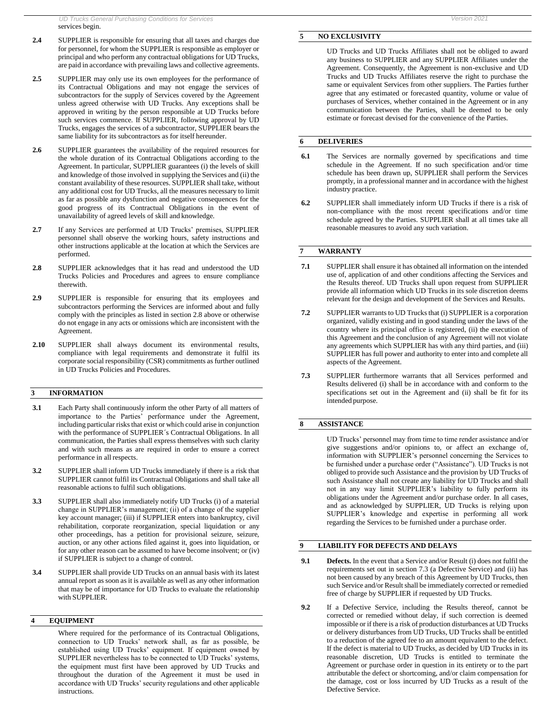- **2.4** SUPPLIER is responsible for ensuring that all taxes and charges due for personnel, for whom the SUPPLIER is responsible as employer or principal and who perform any contractual obligations for UD Trucks, are paid in accordance with prevailing laws and collective agreements.
- **2.5** SUPPLIER may only use its own employees for the performance of its Contractual Obligations and may not engage the services of subcontractors for the supply of Services covered by the Agreement unless agreed otherwise with UD Trucks. Any exceptions shall be approved in writing by the person responsible at UD Trucks before such services commence. If SUPPLIER, following approval by UD Trucks, engages the services of a subcontractor, SUPPLIER bears the same liability for its subcontractors as for itself hereunder.
- 2.6 SUPPLIER guarantees the availability of the required resources for the whole duration of its Contractual Obligations according to the Agreement. In particular, SUPPLIER guarantees (i) the levels of skill and knowledge of those involved in supplying the Services and (ii) the constant availability of these resources. SUPPLIER shall take, without any additional cost for UD Trucks, all the measures necessary to limit as far as possible any dysfunction and negative consequences for the good progress of its Contractual Obligations in the event of unavailability of agreed levels of skill and knowledge.
- **2.7** If any Services are performed at UD Trucks' premises, SUPPLIER personnel shall observe the working hours, safety instructions and other instructions applicable at the location at which the Services are performed.
- **2.8** SUPPLIER acknowledges that it has read and understood the UD Trucks Policies and Procedures and agrees to ensure compliance therewith.
- **2.9** SUPPLIER is responsible for ensuring that its employees and subcontractors performing the Services are informed about and fully comply with the principles as listed in section 2.8 above or otherwise do not engage in any acts or omissions which are inconsistent with the Agreement.
- **2.10** SUPPLIER shall always document its environmental results, compliance with legal requirements and demonstrate it fulfil its corporate social responsibility (CSR) commitments as further outlined in UD Trucks Policies and Procedures.

## **3 INFORMATION**

- **3.1** Each Party shall continuously inform the other Party of all matters of importance to the Parties' performance under the Agreement, including particular risks that exist or which could arise in conjunction with the performance of SUPPLIER´s Contractual Obligations. In all communication, the Parties shall express themselves with such clarity and with such means as are required in order to ensure a correct performance in all respects.
- **3.2** SUPPLIER shall inform UD Trucks immediately if there is a risk that SUPPLIER cannot fulfil its Contractual Obligations and shall take all reasonable actions to fulfil such obligations.
- **3.3** SUPPLIER shall also immediately notify UD Trucks (i) of a material change in SUPPLIER's management; (ii) of a change of the supplier key account manager; (iii) if SUPPLIER enters into bankruptcy, civil rehabilitation, corporate reorganization, special liquidation or any other proceedings, has a petition for provisional seizure, seizure, auction, or any other actions filed against it, goes into liquidation, or for any other reason can be assumed to have become insolvent; or (iv) if SUPPLIER is subject to a change of control.
- **3.4** SUPPLIER shall provide UD Trucks on an annual basis with its latest annual report as soon as it is available as well as any other information that may be of importance for UD Trucks to evaluate the relationship with SUPPLIER.

## **4 EQUIPMENT**

Where required for the performance of its Contractual Obligations, connection to UD Trucks' network shall, as far as possible, be established using UD Trucks' equipment. If equipment owned by SUPPLIER nevertheless has to be connected to UD Trucks' systems, the equipment must first have been approved by UD Trucks and throughout the duration of the Agreement it must be used in accordance with UD Trucks' security regulations and other applicable instructions.

## **5 NO EXCLUSIVITY**

UD Trucks and UD Trucks Affiliates shall not be obliged to award any business to SUPPLIER and any SUPPLIER Affiliates under the Agreement. Consequently, the Agreement is non-exclusive and UD Trucks and UD Trucks Affiliates reserve the right to purchase the same or equivalent Services from other suppliers. The Parties further agree that any estimated or forecasted quantity, volume or value of purchases of Services, whether contained in the Agreement or in any communication between the Parties, shall be deemed to be only estimate or forecast devised for the convenience of the Parties.

# **6 DELIVERIES**

- **6.1** The Services are normally governed by specifications and time schedule in the Agreement. If no such specification and/or time schedule has been drawn up, SUPPLIER shall perform the Services promptly, in a professional manner and in accordance with the highest industry practice.
- **6.2** SUPPLIER shall immediately inform UD Trucks if there is a risk of non-compliance with the most recent specifications and/or time schedule agreed by the Parties. SUPPLIER shall at all times take all reasonable measures to avoid any such variation.

#### **7 WARRANTY**

- **7.1** SUPPLIER shall ensure it has obtained all information on the intended use of, application of and other conditions affecting the Services and the Results thereof. UD Trucks shall upon request from SUPPLIER provide all information which UD Trucks in its sole discretion deems relevant for the design and development of the Services and Results.
- **7.2** SUPPLIER warrants to UD Trucks that (i) SUPPLIER is a corporation organized, validly existing and in good standing under the laws of the country where its principal office is registered, (ii) the execution of this Agreement and the conclusion of any Agreement will not violate any agreements which SUPPLIER has with any third parties, and (iii) SUPPLIER has full power and authority to enter into and complete all aspects of the Agreement.
- **7.3** SUPPLIER furthermore warrants that all Services performed and Results delivered (i) shall be in accordance with and conform to the specifications set out in the Agreement and (ii) shall be fit for its intended purpose.

#### **8 ASSISTANCE**

UD Trucks' personnel may from time to time render assistance and/or give suggestions and/or opinions to, or affect an exchange of, information with SUPPLIER's personnel concerning the Services to be furnished under a purchase order ("Assistance"). UD Trucks is not obliged to provide such Assistance and the provision by UD Trucks of such Assistance shall not create any liability for UD Trucks and shall not in any way limit SUPPLIER's liability to fully perform its obligations under the Agreement and/or purchase order. In all cases, and as acknowledged by SUPPLIER, UD Trucks is relying upon SUPPLIER's knowledge and expertise in performing all work regarding the Services to be furnished under a purchase order.

#### **9 LIABILITY FOR DEFECTS AND DELAYS**

- **9.1 Defects.** In the event that a Service and/or Result (i) does not fulfil the requirements set out in section 7.3 (a Defective Service) and (ii) has not been caused by any breach of this Agreement by UD Trucks, then such Service and/or Result shall be immediately corrected or remedied free of charge by SUPPLIER if requested by UD Trucks.
- **9.2** If a Defective Service, including the Results thereof, cannot be corrected or remedied without delay, if such correction is deemed impossible or if there is a risk of production disturbances at UD Trucks or delivery disturbances from UD Trucks, UD Trucks shall be entitled to a reduction of the agreed fee to an amount equivalent to the defect. If the defect is material to UD Trucks, as decided by UD Trucks in its reasonable discretion, UD Trucks is entitled to terminate the Agreement or purchase order in question in its entirety or to the part attributable the defect or shortcoming, and/or claim compensation for the damage, cost or loss incurred by UD Trucks as a result of the Defective Service.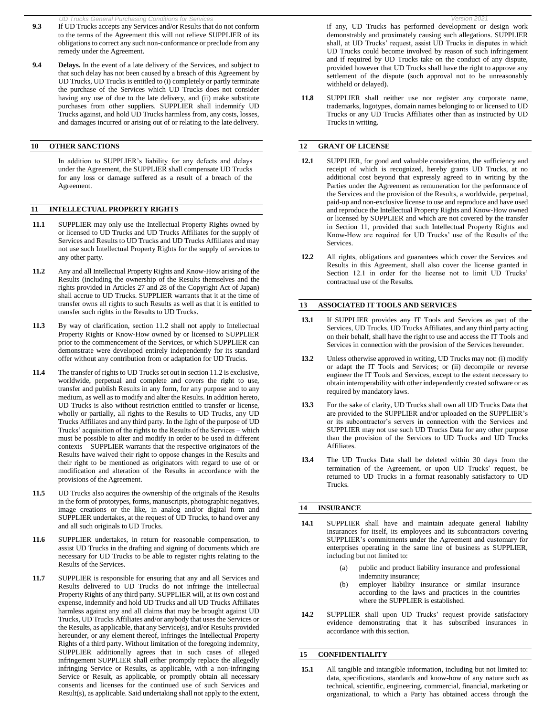- *UD Trucks General Purchasing Conditions for Services Version 2021* **9.3** If UD Trucks accepts any Services and/or Results that do not conform to the terms of the Agreement this will not relieve SUPPLIER of its obligations to correct any such non-conformance or preclude from any remedy under the Agreement.
- **9.4 Delays.** In the event of a late delivery of the Services, and subject to that such delay has not been caused by a breach of this Agreement by UD Trucks, UD Trucks is entitled to (i) completely or partly terminate the purchase of the Services which UD Trucks does not consider having any use of due to the late delivery, and (ii) make substitute purchases from other suppliers. SUPPLIER shall indemnify UD Trucks against, and hold UD Trucks harmless from, any costs, losses, and damages incurred or arising out of or relating to the late delivery.

## **10 OTHER SANCTIONS**

In addition to SUPPLIER's liability for any defects and delays under the Agreement, the SUPPLIER shall compensate UD Trucks for any loss or damage suffered as a result of a breach of the Agreement.

#### **11 INTELLECTUAL PROPERTY RIGHTS**

- **11.1** SUPPLIER may only use the Intellectual Property Rights owned by or licensed to UD Trucks and UD Trucks Affiliates for the supply of Services and Results to UD Trucks and UD Trucks Affiliates and may not use such Intellectual Property Rights for the supply of services to any other party.
- **11.2** Any and all Intellectual Property Rights and Know-How arising of the Results (including the ownership of the Results themselves and the rights provided in Articles 27 and 28 of the Copyright Act of Japan) shall accrue to UD Trucks. SUPPLIER warrants that it at the time of transfer owns all rights to such Results as well as that it is entitled to transfer such rights in the Results to UD Trucks.
- **11.3** By way of clarification, section 11.2 shall not apply to Intellectual Property Rights or Know-How owned by or licensed to SUPPLIER prior to the commencement of the Services, or which SUPPLIER can demonstrate were developed entirely independently for its standard offer without any contribution from or adaptation for UD Trucks.
- **11.4** The transfer of rights to UD Trucks set out in section 11.2 is exclusive, worldwide, perpetual and complete and covers the right to use, transfer and publish Results in any form, for any purpose and to any medium, as well as to modify and alter the Results. In addition hereto, UD Trucks is also without restriction entitled to transfer or license, wholly or partially, all rights to the Results to UD Trucks, any UD Trucks Affiliates and any third party. In the light of the purpose of UD Trucks' acquisition of the rights to the Results of the Services – which must be possible to alter and modify in order to be used in different contexts – SUPPLIER warrants that the respective originators of the Results have waived their right to oppose changes in the Results and their right to be mentioned as originators with regard to use of or modification and alteration of the Results in accordance with the provisions of the Agreement.
- **11.5** UD Trucks also acquires the ownership of the originals of the Results in the form of prototypes, forms, manuscripts, photographic negatives, image creations or the like, in analog and/or digital form and SUPPLIER undertakes, at the request of UD Trucks, to hand over any and all such originals to UD Trucks.
- **11.6** SUPPLIER undertakes, in return for reasonable compensation, to assist UD Trucks in the drafting and signing of documents which are necessary for UD Trucks to be able to register rights relating to the Results of the Services.
- **11.7** SUPPLIER is responsible for ensuring that any and all Services and Results delivered to UD Trucks do not infringe the Intellectual Property Rights of any third party. SUPPLIER will, at its own cost and expense, indemnify and hold UD Trucks and all UD Trucks Affiliates harmless against any and all claims that may be brought against UD Trucks, UD Trucks Affiliates and/or anybody that uses the Services or the Results, as applicable, that any Service(s), and/or Results provided hereunder, or any element thereof, infringes the Intellectual Property Rights of a third party. Without limitation of the foregoing indemnity, SUPPLIER additionally agrees that in such cases of alleged infringement SUPPLIER shall either promptly replace the allegedly infringing Service or Results, as applicable, with a non-infringing Service or Result, as applicable, or promptly obtain all necessary consents and licenses for the continued use of such Services and Result(s), as applicable. Said undertaking shall not apply to the extent,

if any, UD Trucks has performed development or design work demonstrably and proximately causing such allegations. SUPPLIER shall, at UD Trucks' request, assist UD Trucks in disputes in which UD Trucks could become involved by reason of such infringement and if required by UD Trucks take on the conduct of any dispute, provided however that UD Trucks shall have the right to approve any settlement of the dispute (such approval not to be unreasonably withheld or delayed).

**11.8** SUPPLIER shall neither use nor register any corporate name, trademarks, logotypes, domain names belonging to or licensed to UD Trucks or any UD Trucks Affiliates other than as instructed by UD Trucks in writing.

### **12 GRANT OF LICENSE**

- **12.1** SUPPLIER, for good and valuable consideration, the sufficiency and receipt of which is recognized, hereby grants UD Trucks, at no additional cost beyond that expressly agreed to in writing by the Parties under the Agreement as remuneration for the performance of the Services and the provision of the Results, a worldwide, perpetual, paid-up and non-exclusive license to use and reproduce and have used and reproduce the Intellectual Property Rights and Know-How owned or licensed by SUPPLIER and which are not covered by the transfer in Section 11, provided that such Intellectual Property Rights and Know-How are required for UD Trucks' use of the Results of the Services.
- **12.2** All rights, obligations and guarantees which cover the Services and Results in this Agreement, shall also cover the license granted in Section 12.1 in order for the license not to limit UD Trucks' contractual use of the Results.

#### **13 ASSOCIATED IT TOOLS AND SERVICES**

- **13.1** If SUPPLIER provides any IT Tools and Services as part of the Services, UD Trucks, UD Trucks Affiliates, and any third party acting on their behalf, shall have the right to use and access the IT Tools and Services in connection with the provision of the Services hereunder.
- **13.2** Unless otherwise approved in writing, UD Trucks may not: (i) modify or adapt the IT Tools and Services; or (ii) decompile or reverse engineer the IT Tools and Services, except to the extent necessary to obtain interoperability with other independently created software or as required by mandatory laws.
- **13.3** For the sake of clarity, UD Trucks shall own all UD Trucks Data that are provided to the SUPPLIER and/or uploaded on the SUPPLIER's or its subcontractor's servers in connection with the Services and SUPPLIER may not use such UD Trucks Data for any other purpose than the provision of the Services to UD Trucks and UD Trucks Affiliates.
- **13.4** The UD Trucks Data shall be deleted within 30 days from the termination of the Agreement, or upon UD Trucks' request, be returned to UD Trucks in a format reasonably satisfactory to UD Trucks.

### **14 INSURANCE**

- **14.1** SUPPLIER shall have and maintain adequate general liability insurances for itself, its employees and its subcontractors covering SUPPLIER's commitments under the Agreement and customary for enterprises operating in the same line of business as SUPPLIER, including but not limited to:
	- (a) public and product liability insurance and professional indemnity insurance;
	- (b) employer liability insurance or similar insurance according to the laws and practices in the countries where the SUPPLIER is established.
- **14.2** SUPPLIER shall upon UD Trucks' request provide satisfactory evidence demonstrating that it has subscribed insurances in accordance with thissection.

### **15 CONFIDENTIALITY**

**15.1** All tangible and intangible information, including but not limited to: data, specifications, standards and know-how of any nature such as technical, scientific, engineering, commercial, financial, marketing or organizational, to which a Party has obtained access through the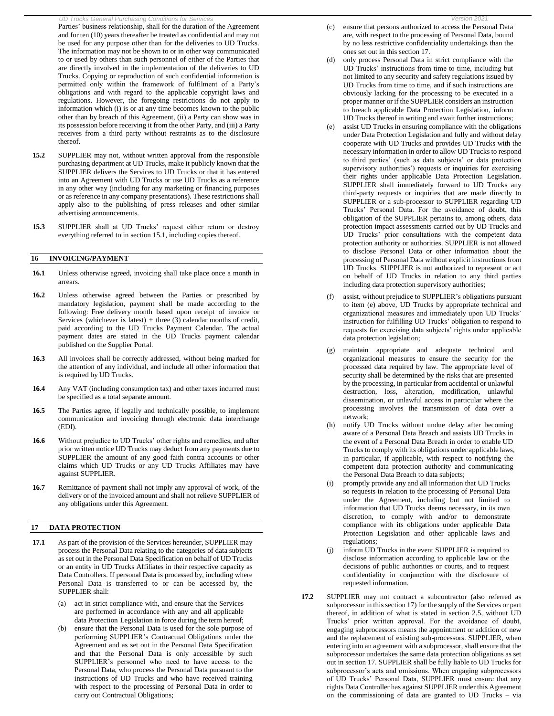*UD Trucks General Purchasing Conditions for Service* Parties' business relationship, shall for the duration of the Agreement and for ten (10) years thereafter be treated as confidential and may not be used for any purpose other than for the deliveries to UD Trucks. The information may not be shown to or in other way communicated to or used by others than such personnel of either of the Parties that are directly involved in the implementation of the deliveries to UD Trucks. Copying or reproduction of such confidential information is permitted only within the framework of fulfilment of a Party's obligations and with regard to the applicable copyright laws and regulations. However, the foregoing restrictions do not apply to information which (i) is or at any time becomes known to the public other than by breach of this Agreement, (ii) a Party can show was in its possession before receiving it from the other Party, and (iii) a Party receives from a third party without restraints as to the disclosure thereof.

- **15.2** SUPPLIER may not, without written approval from the responsible purchasing department at UD Trucks, make it publicly known that the SUPPLIER delivers the Services to UD Trucks or that it has entered into an Agreement with UD Trucks or use UD Trucks as a reference in any other way (including for any marketing or financing purposes or as reference in any company presentations). These restrictions shall apply also to the publishing of press releases and other similar advertising announcements.
- **15.3** SUPPLIER shall at UD Trucks' request either return or destroy everything referred to in section 15.1, including copies thereof.

## **16 INVOICING/PAYMENT**

- 16.1 Unless otherwise agreed, invoicing shall take place once a month in arrears.
- **16.2** Unless otherwise agreed between the Parties or prescribed by mandatory legislation, payment shall be made according to the following: Free delivery month based upon receipt of invoice or Services (whichever is latest) + three (3) calendar months of credit, paid according to the UD Trucks Payment Calendar. The actual payment dates are stated in the UD Trucks payment calendar published on the Supplier Portal.
- **16.3** All invoices shall be correctly addressed, without being marked for the attention of any individual, and include all other information that is required by UD Trucks.
- **16.4** Any VAT (including consumption tax) and other taxes incurred must be specified as a total separate amount.
- **16.5** The Parties agree, if legally and technically possible, to implement communication and invoicing through electronic data interchange (EDI).
- **16.6** Without prejudice to UD Trucks' other rights and remedies, and after prior written notice UD Trucks may deduct from any payments due to SUPPLIER the amount of any good faith contra accounts or other claims which UD Trucks or any UD Trucks Affiliates may have against SUPPLIER.
- **16.7** Remittance of payment shall not imply any approval of work, of the delivery or of the invoiced amount and shall not relieve SUPPLIER of any obligations under this Agreement.

## **17 DATA PROTECTION**

- **17.1** As part of the provision of the Services hereunder, SUPPLIER may process the Personal Data relating to the categories of data subjects as set out in the Personal Data Specification on behalf of UD Trucks or an entity in UD Trucks Affiliates in their respective capacity as Data Controllers. If personal Data is processed by, including where Personal Data is transferred to or can be accessed by, the SUPPLIER shall:
	- (a) act in strict compliance with, and ensure that the Services are performed in accordance with any and all applicable data Protection Legislation in force during the term hereof;
	- (b) ensure that the Personal Data is used for the sole purpose of performing SUPPLIER's Contractual Obligations under the Agreement and as set out in the Personal Data Specification and that the Personal Data is only accessible by such SUPPLIER's personnel who need to have access to the Personal Data, who process the Personal Data pursuant to the instructions of UD Trucks and who have received training with respect to the processing of Personal Data in order to carry out Contractual Obligations;
- (c) ensure that persons authorized to access the Personal Data are, with respect to the processing of Personal Data, bound by no less restrictive confidentiality undertakings than the ones set out in this section 17.
- (d) only process Personal Data in strict compliance with the UD Trucks' instructions from time to time, including but not limited to any security and safety regulations issued by UD Trucks from time to time, and if such instructions are obviously lacking for the processing to be executed in a proper manner or if the SUPPLIER considers an instruction to breach applicable Data Protection Legislation, inform UD Trucks thereof in writing and await further instructions;
- (e) assist UD Trucks in ensuring compliance with the obligations under Data Protection Legislation and fully and without delay cooperate with UD Trucks and provides UD Trucks with the necessary information in order to allow UD Trucks to respond to third parties' (such as data subjects' or data protection supervisory authorities') requests or inquiries for exercising their rights under applicable Data Protection Legislation. SUPPLIER shall immediately forward to UD Trucks any third-party requests or inquiries that are made directly to SUPPLIER or a sub-processor to SUPPLIER regarding UD Trucks' Personal Data. For the avoidance of doubt, this obligation of the SUPPLIER pertains to, among others, data protection impact assessments carried out by UD Trucks and UD Trucks' prior consultations with the competent data protection authority or authorities. SUPPLIER is not allowed to disclose Personal Data or other information about the processing of Personal Data without explicit instructions from UD Trucks. SUPPLIER is not authorized to represent or act on behalf of UD Trucks in relation to any third parties including data protection supervisory authorities;
- (f) assist, without prejudice to SUPPLIER's obligations pursuant to item (e) above, UD Trucks by appropriate technical and organizational measures and immediately upon UD Trucks' instruction for fulfilling UD Trucks' obligation to respond to requests for exercising data subjects' rights under applicable data protection legislation;
- maintain appropriate and adequate technical and organizational measures to ensure the security for the processed data required by law. The appropriate level of security shall be determined by the risks that are presented by the processing, in particular from accidental or unlawful destruction, loss, alteration, modification, unlawful dissemination, or unlawful access in particular where the processing involves the transmission of data over a network;
- (h) notify UD Trucks without undue delay after becoming aware of a Personal Data Breach and assists UD Trucks in the event of a Personal Data Breach in order to enable UD Trucks to comply with its obligations under applicable laws, in particular, if applicable, with respect to notifying the competent data protection authority and communicating the Personal Data Breach to data subjects;
- (i) promptly provide any and all information that UD Trucks so requests in relation to the processing of Personal Data under the Agreement, including but not limited to information that UD Trucks deems necessary, in its own discretion, to comply with and/or to demonstrate compliance with its obligations under applicable Data Protection Legislation and other applicable laws and regulations;
- inform UD Trucks in the event SUPPLIER is required to disclose information according to applicable law or the decisions of public authorities or courts, and to request confidentiality in conjunction with the disclosure of requested information.
- **17.2** SUPPLIER may not contract a subcontractor (also referred as subprocessor in this section 17) for the supply of the Services or part thereof, in addition of what is stated in section 2.5, without UD Trucks' prior written approval. For the avoidance of doubt, engaging subprocessors means the appointment or addition of new and the replacement of existing sub-processors. SUPPLIER, when entering into an agreement with a subprocessor, shall ensure that the subprocessor undertakes the same data protection obligations as set out in section 17. SUPPLIER shall be fully liable to UD Trucks for subprocessor's acts and omissions. When engaging subprocessors of UD Trucks' Personal Data, SUPPLIER must ensure that any rights Data Controller has against SUPPLIER under this Agreement on the commissioning of data are granted to UD Trucks – via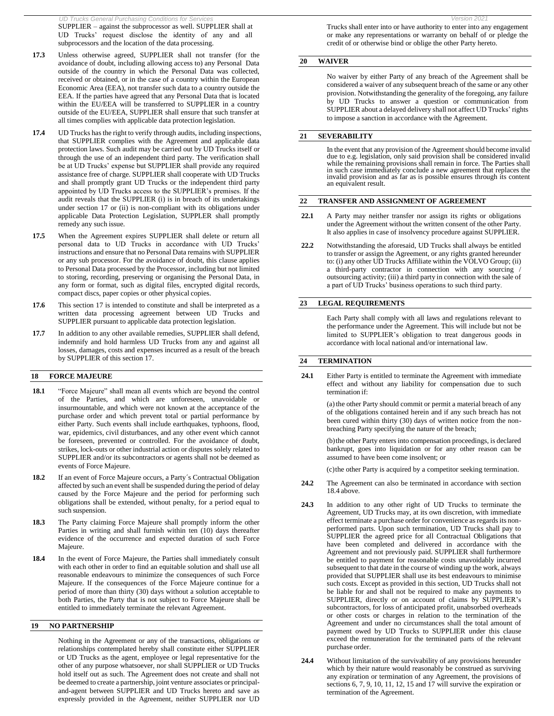*UD Trucks General Purchasing Conditions for Services Version 2021* SUPPLIER – against the subprocessor as well. SUPPLIER shall at UD Trucks' request disclose the identity of any and all subprocessors and the location of the data processing.

- **17.3** Unless otherwise agreed, SUPPLIER shall not transfer (for the avoidance of doubt, including allowing access to) any Personal Data outside of the country in which the Personal Data was collected, received or obtained, or in the case of a country within the European Economic Area (EEA), not transfer such data to a country outside the EEA. If the parties have agreed that any Personal Data that is located within the EU/EEA will be transferred to SUPPLIER in a country outside of the EU/EEA, SUPPLIER shall ensure that such transfer at all times complies with applicable data protection legislation.
- **17.4** UD Trucks has the right to verify through audits, including inspections, that SUPPLIER complies with the Agreement and applicable data protection laws. Such audit may be carried out by UD Trucks itself or through the use of an independent third party. The verification shall be at UD Trucks' expense but SUPPLIER shall provide any required assistance free of charge. SUPPLIER shall cooperate with UD Trucks and shall promptly grant UD Trucks or the independent third party appointed by UD Trucks access to the SUPPLIER's premises. If the audit reveals that the SUPPLIER (i) is in breach of its undertakings under section 17 or (ii) is non-compliant with its obligations under applicable Data Protection Legislation, SUPPLER shall promptly remedy any such issue.
- **17.5** When the Agreement expires SUPPLIER shall delete or return all personal data to UD Trucks in accordance with UD Trucks' instructions and ensure that no Personal Data remains with SUPPLIER or any sub processor. For the avoidance of doubt, this clause applies to Personal Data processed by the Processor, including but not limited to storing, recording, preserving or organising the Personal Data, in any form or format, such as digital files, encrypted digital records, compact discs, paper copies or other physical copies.
- **17.6** This section 17 is intended to constitute and shall be interpreted as a written data processing agreement between UD Trucks and SUPPLIER pursuant to applicable data protection legislation.
- **17.7** In addition to any other available remedies, SUPPLIER shall defend, indemnify and hold harmless UD Trucks from any and against all losses, damages, costs and expenses incurred as a result of the breach by SUPPLIER of this section 17.

### **18 FORCE MAJEURE**

- **18.1** "Force Majeure" shall mean all events which are beyond the control of the Parties, and which are unforeseen, unavoidable or insurmountable, and which were not known at the acceptance of the purchase order and which prevent total or partial performance by either Party. Such events shall include earthquakes, typhoons, flood, war, epidemics, civil disturbances, and any other event which cannot be foreseen, prevented or controlled. For the avoidance of doubt, strikes, lock-outs or other industrial action or disputes solely related to SUPPLIER and/or its subcontractors or agents shall not be deemed as events of Force Majeure.
- **18.2** If an event of Force Majeure occurs, a Party´s Contractual Obligation affected by such an event shall be suspended during the period of delay caused by the Force Majeure and the period for performing such obligations shall be extended, without penalty, for a period equal to such suspension.
- **18.3** The Party claiming Force Majeure shall promptly inform the other Parties in writing and shall furnish within ten (10) days thereafter evidence of the occurrence and expected duration of such Force Majeure.
- **18.4** In the event of Force Majeure, the Parties shall immediately consult with each other in order to find an equitable solution and shall use all reasonable endeavours to minimize the consequences of such Force Majeure. If the consequences of the Force Majeure continue for a period of more than thirty (30) days without a solution acceptable to both Parties, the Party that is not subject to Force Majeure shall be entitled to immediately terminate the relevant Agreement.

### **19 NO PARTNERSHIP**

Nothing in the Agreement or any of the transactions, obligations or relationships contemplated hereby shall constitute either SUPPLIER or UD Trucks as the agent, employee or legal representative for the other of any purpose whatsoever, nor shall SUPPLIER or UD Trucks hold itself out as such. The Agreement does not create and shall not be deemed to create a partnership, joint venture associates or principaland-agent between SUPPLIER and UD Trucks hereto and save as expressly provided in the Agreement, neither SUPPLIER nor UD

Trucks shall enter into or have authority to enter into any engagement or make any representations or warranty on behalf of or pledge the credit of or otherwise bind or oblige the other Party hereto.

### **20 WAIVER**

No waiver by either Party of any breach of the Agreement shall be considered a waiver of any subsequent breach of the same or any other provision. Notwithstanding the generality of the foregoing, any failure by UD Trucks to answer a question or communication from SUPPLIER about a delayed delivery shall not affect UD Trucks' rights to impose a sanction in accordance with the Agreement.

#### **21 SEVERABILITY**

In the event that any provision of the Agreement should become invalid due to e.g. legislation, only said provision shall be considered invalid while the remaining provisions shall remain in force. The Parties shall in such case immediately conclude a new agreement that replaces the invalid provision and as far as is possible ensures through its content an equivalent result.

#### **22 TRANSFER AND ASSIGNMENT OF AGREEMENT**

- **22.1** A Party may neither transfer nor assign its rights or obligations under the Agreement without the written consent of the other Party. It also applies in case of insolvency procedure against SUPPLIER.
- **22.2** Notwithstanding the aforesaid, UD Trucks shall always be entitled to transfer or assign the Agreement, or any rights granted hereunder to: (i) any other UD Trucks Affiliate within the VOLVO Group; (ii) a third-party contractor in connection with any sourcing outsourcing activity; (iii) a third party in connection with the sale of a part of UD Trucks' business operations to such third party.

#### **23 LEGAL REQUIREMENTS**

Each Party shall comply with all laws and regulations relevant to the performance under the Agreement. This will include but not be limited to SUPPLIER's obligation to treat dangerous goods in accordance with local national and/or international law.

#### **24 TERMINATION**

**24.1** Either Party is entitled to terminate the Agreement with immediate effect and without any liability for compensation due to such termination if:

> (a) the other Party should commit or permit a material breach of any of the obligations contained herein and if any such breach has not been cured within thirty (30) days of written notice from the nonbreaching Party specifying the nature of the breach;

> (b)the other Party enters into compensation proceedings, is declared bankrupt, goes into liquidation or for any other reason can be assumed to have been come insolvent; or

(c)the other Party is acquired by a competitor seeking termination.

- **24.2** The Agreement can also be terminated in accordance with section 18.4 above.
- **24.3** In addition to any other right of UD Trucks to terminate the Agreement, UD Trucks may, at its own discretion, with immediate effect terminate a purchase order for convenience as regards its nonperformed parts. Upon such termination, UD Trucks shall pay to SUPPLIER the agreed price for all Contractual Obligations that have been completed and delivered in accordance with the Agreement and not previously paid. SUPPLIER shall furthermore be entitled to payment for reasonable costs unavoidably incurred subsequent to that date in the course of winding up the work, always provided that SUPPLIER shall use its best endeavours to minimise such costs. Except as provided in this section, UD Trucks shall not be liable for and shall not be required to make any payments to SUPPLIER, directly or on account of claims by SUPPLIER's subcontractors, for loss of anticipated profit, unabsorbed overheads or other costs or charges in relation to the termination of the Agreement and under no circumstances shall the total amount of payment owed by UD Trucks to SUPPLIER under this clause exceed the remuneration for the terminated parts of the relevant purchase order.
- **24.4** Without limitation of the survivability of any provisions hereunder which by their nature would reasonably be construed as surviving any expiration or termination of any Agreement, the provisions of sections 6, 7, 9, 10, 11, 12, 15 and 17 will survive the expiration or termination of the Agreement.